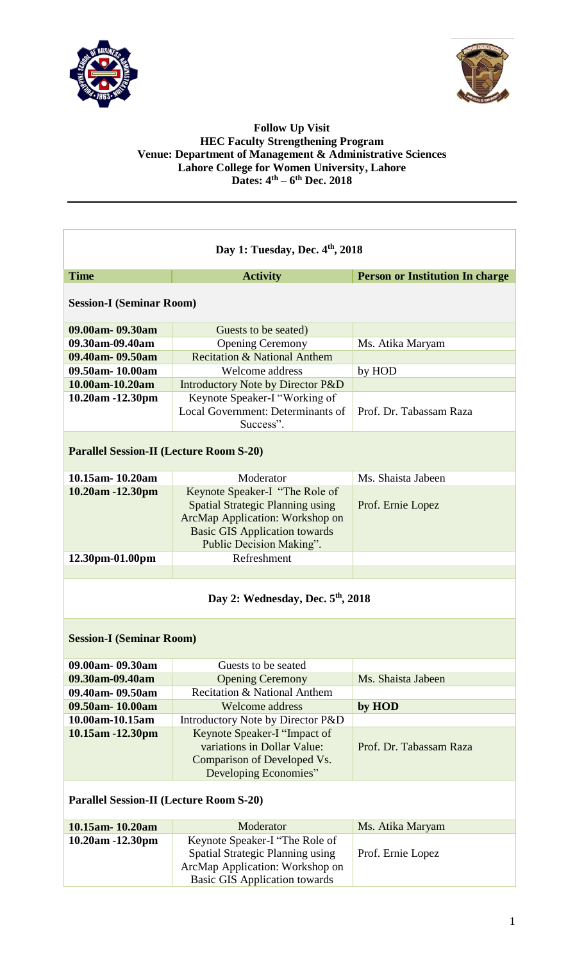



## **Follow Up Visit HEC Faculty Strengthening Program Venue: Department of Management & Administrative Sciences Lahore College for Women University, Lahore Dates: 4 th – 6 th Dec. 2018**

| Day 1: Tuesday, Dec. 4 <sup>th</sup> , 2018    |                                                                                                                                                                                  |                                        |  |
|------------------------------------------------|----------------------------------------------------------------------------------------------------------------------------------------------------------------------------------|----------------------------------------|--|
| <b>Time</b>                                    | <b>Activity</b>                                                                                                                                                                  | <b>Person or Institution In charge</b> |  |
| <b>Session-I (Seminar Room)</b>                |                                                                                                                                                                                  |                                        |  |
| 09.00am- 09.30am                               | Guests to be seated)                                                                                                                                                             |                                        |  |
| 09.30am-09.40am                                | <b>Opening Ceremony</b>                                                                                                                                                          | Ms. Atika Maryam                       |  |
| 09.40am-09.50am                                | Recitation & National Anthem                                                                                                                                                     |                                        |  |
| 09.50am-10.00am                                | Welcome address                                                                                                                                                                  | by HOD                                 |  |
| 10.00am-10.20am                                | Introductory Note by Director P&D                                                                                                                                                |                                        |  |
| 10.20am -12.30pm                               | Keynote Speaker-I "Working of<br>Local Government: Determinants of<br>Success".                                                                                                  | Prof. Dr. Tabassam Raza                |  |
| <b>Parallel Session-II (Lecture Room S-20)</b> |                                                                                                                                                                                  |                                        |  |
| 10.15am-10.20am                                | Moderator                                                                                                                                                                        | Ms. Shaista Jabeen                     |  |
| 10.20am -12.30pm                               | Keynote Speaker-I "The Role of<br><b>Spatial Strategic Planning using</b><br>ArcMap Application: Workshop on<br><b>Basic GIS Application towards</b><br>Public Decision Making". | Prof. Ernie Lopez                      |  |
| 12.30pm-01.00pm                                | Refreshment                                                                                                                                                                      |                                        |  |
|                                                |                                                                                                                                                                                  |                                        |  |
| Day 2: Wednesday, Dec. $5th$ , 2018            |                                                                                                                                                                                  |                                        |  |
| <b>Session-I (Seminar Room)</b>                |                                                                                                                                                                                  |                                        |  |
| 09.00am- 09.30am                               | Guests to be seated                                                                                                                                                              |                                        |  |
| 09.30am-09.40am                                | <b>Opening Ceremony</b>                                                                                                                                                          | Ms. Shaista Jabeen                     |  |
| 09.40am-09.50am                                | Recitation & National Anthem                                                                                                                                                     |                                        |  |
| 09.50am-10.00am                                | Welcome address                                                                                                                                                                  | by HOD                                 |  |
| 10.00am-10.15am                                | Introductory Note by Director P&D                                                                                                                                                |                                        |  |
| 10.15am -12.30pm                               | Keynote Speaker-I "Impact of<br>variations in Dollar Value:<br>Comparison of Developed Vs.<br>Developing Economies"                                                              | Prof. Dr. Tabassam Raza                |  |
| <b>Parallel Session-II (Lecture Room S-20)</b> |                                                                                                                                                                                  |                                        |  |
| 10.15am-10.20am                                | Moderator                                                                                                                                                                        | Ms. Atika Maryam                       |  |
| 10.20am -12.30pm                               | Keynote Speaker-I "The Role of<br><b>Spatial Strategic Planning using</b><br>ArcMap Application: Workshop on<br><b>Basic GIS Application towards</b>                             | Prof. Ernie Lopez                      |  |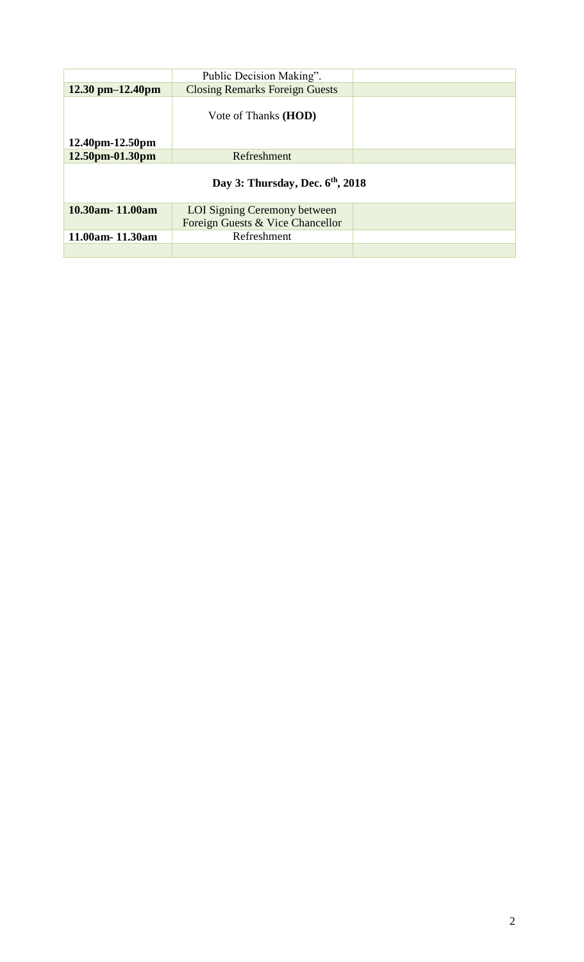|                                    | Public Decision Making".              |  |  |
|------------------------------------|---------------------------------------|--|--|
| $12.30$ pm $-12.40$ pm             | <b>Closing Remarks Foreign Guests</b> |  |  |
| $12.40$ pm-12.50pm                 | Vote of Thanks ( <b>HOD</b> )         |  |  |
| 12.50pm-01.30pm                    | Refreshment                           |  |  |
|                                    |                                       |  |  |
| Day 3: Thursday, Dec. $6th$ , 2018 |                                       |  |  |
|                                    |                                       |  |  |
|                                    |                                       |  |  |
| 10.30am - 11.00am                  | LOI Signing Ceremony between          |  |  |
|                                    | Foreign Guests & Vice Chancellor      |  |  |
| 11.00am-11.30am                    | Refreshment                           |  |  |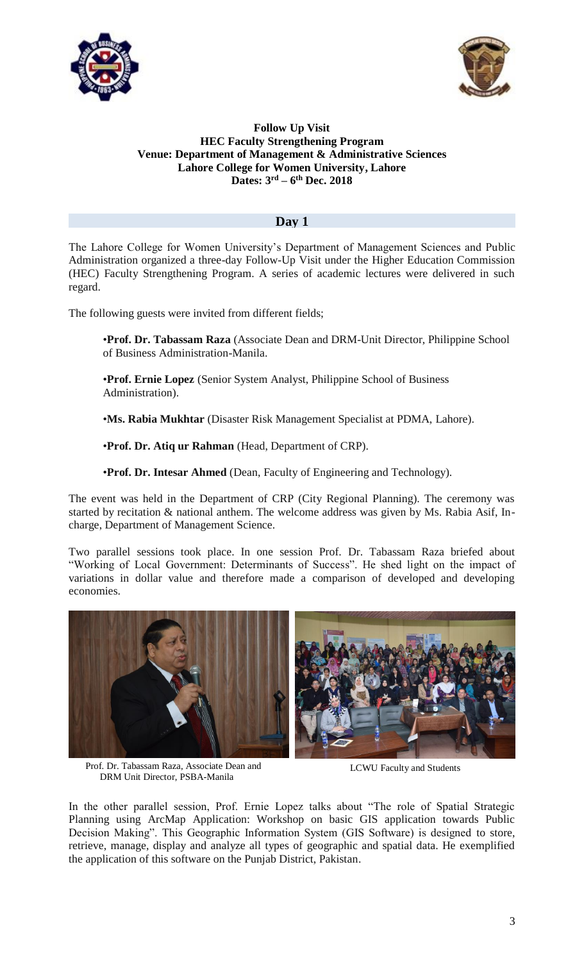



## **Follow Up Visit HEC Faculty Strengthening Program Venue: Department of Management & Administrative Sciences Lahore College for Women University, Lahore Dates: 3 rd – 6 th Dec. 2018**

## **Day 1**

The Lahore College for Women University's Department of Management Sciences and Public Administration organized a three-day Follow-Up Visit under the Higher Education Commission (HEC) Faculty Strengthening Program. A series of academic lectures were delivered in such regard.

The following guests were invited from different fields;

•**Prof. Dr. Tabassam Raza** (Associate Dean and DRM-Unit Director, Philippine School of Business Administration-Manila.

•**Prof. Ernie Lopez** (Senior System Analyst, Philippine School of Business Administration).

•**Ms. Rabia Mukhtar** (Disaster Risk Management Specialist at PDMA, Lahore).

•**Prof. Dr. Atiq ur Rahman** (Head, Department of CRP).

•**Prof. Dr. Intesar Ahmed** (Dean, Faculty of Engineering and Technology).

The event was held in the Department of CRP (City Regional Planning). The ceremony was started by recitation & national anthem. The welcome address was given by Ms. Rabia Asif, Incharge, Department of Management Science.

Two parallel sessions took place. In one session Prof. Dr. Tabassam Raza briefed about "Working of Local Government: Determinants of Success". He shed light on the impact of variations in dollar value and therefore made a comparison of developed and developing economies.



 Prof. Dr. Tabassam Raza, Associate Dean and DRM Unit Director, PSBA-Manila

LCWU Faculty and Students

In the other parallel session, Prof. Ernie Lopez talks about "The role of Spatial Strategic Planning using ArcMap Application: Workshop on basic GIS application towards Public Decision Making". This Geographic Information System (GIS Software) is designed to store, retrieve, manage, display and analyze all types of geographic and spatial data. He exemplified the application of this software on the Punjab District, Pakistan.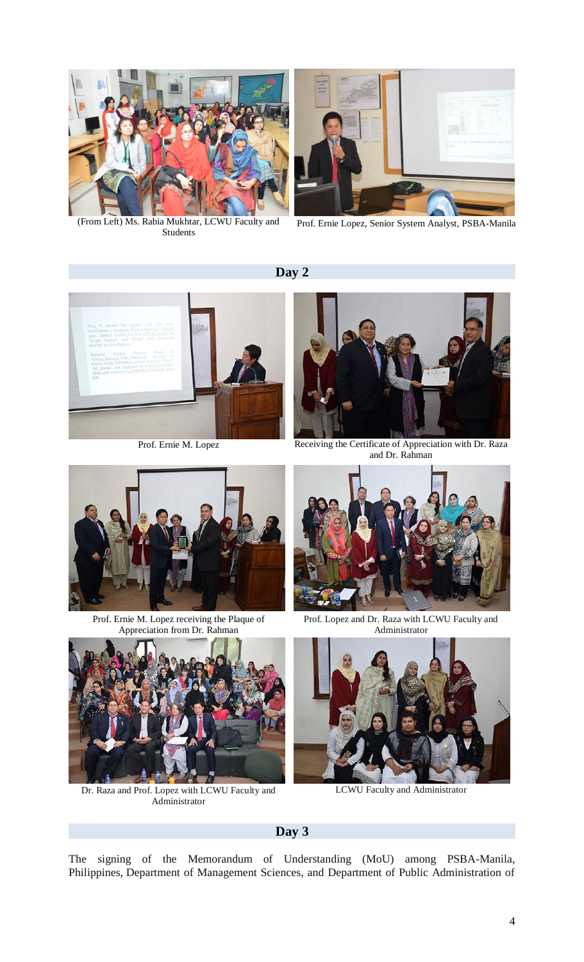

(From Left) Ms. Rabia Mukhtar, LCWU Faculty and Students



Prof. Ernie Lopez, Senior System Analyst, PSBA-Manila

**Day 2**



Prof. Ernie M. Lopez



Receiving the Certificate of Appreciation with Dr. Raza and Dr. Rahman



Prof. Ernie M. Lopez receiving the Plaque of Appreciation from Dr. Rahman



Dr. Raza and Prof. Lopez with LCWU Faculty and Administrator



Prof. Lopez and Dr. Raza with LCWU Faculty and Administrator



LCWU Faculty and Administrator

**Day 3**

The signing of the Memorandum of Understanding (MoU) among PSBA-Manila, Philippines, Department of Management Sciences, and Department of Public Administration of